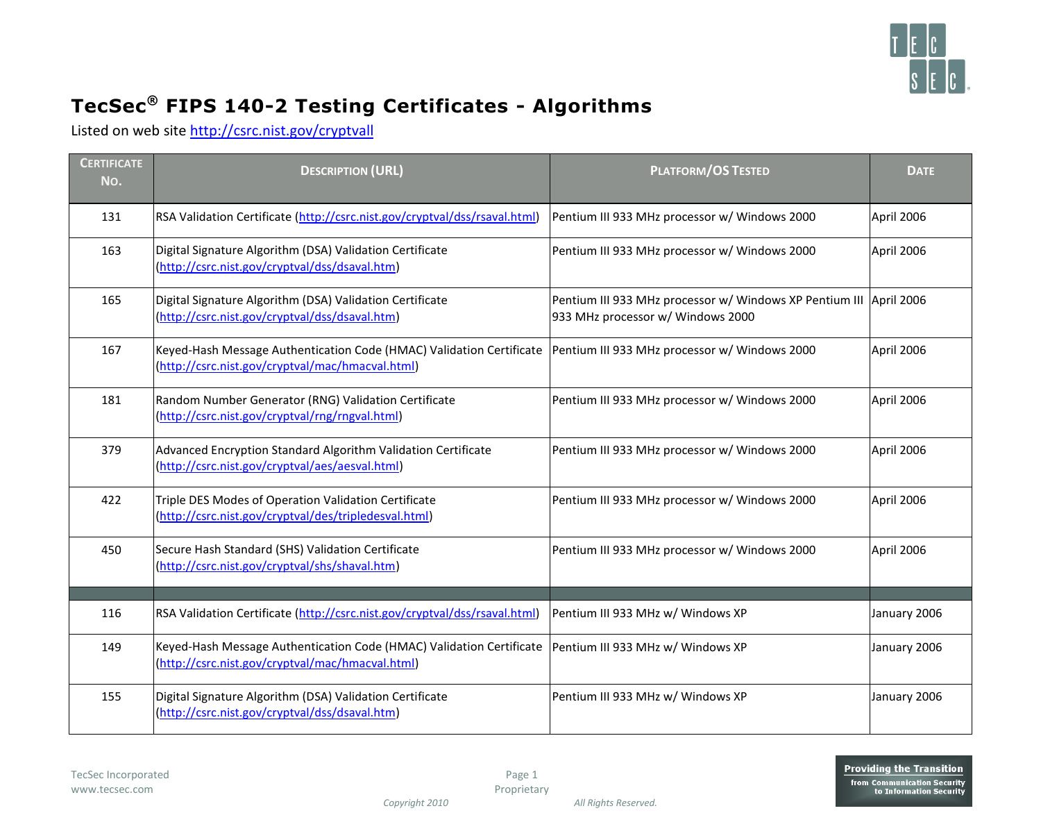

## **TecSec® FIPS 140-2 Testing Certificates - Algorithms**

Listed on web site [http://csrc.nist.gov/cryptvall](http://csrc.nist.gov/groups/STM/index.html)

| <b>CERTIFICATE</b><br>No. | <b>DESCRIPTION (URL)</b>                                                                                                                                                 | <b>PLATFORM/OS TESTED</b>                                                                                 | <b>DATE</b>  |
|---------------------------|--------------------------------------------------------------------------------------------------------------------------------------------------------------------------|-----------------------------------------------------------------------------------------------------------|--------------|
| 131                       | RSA Validation Certificate (http://csrc.nist.gov/cryptval/dss/rsaval.html)                                                                                               | Pentium III 933 MHz processor w/ Windows 2000                                                             | April 2006   |
| 163                       | Digital Signature Algorithm (DSA) Validation Certificate<br>(http://csrc.nist.gov/cryptval/dss/dsaval.htm)                                                               | Pentium III 933 MHz processor w/ Windows 2000                                                             | April 2006   |
| 165                       | Digital Signature Algorithm (DSA) Validation Certificate<br>(http://csrc.nist.gov/cryptval/dss/dsaval.htm)                                                               | Pentium III 933 MHz processor w/ Windows XP Pentium III   April 2006<br>933 MHz processor w/ Windows 2000 |              |
| 167                       | Keyed-Hash Message Authentication Code (HMAC) Validation Certificate   Pentium III 933 MHz processor w/ Windows 2000<br>(http://csrc.nist.gov/cryptval/mac/hmacval.html) |                                                                                                           | April 2006   |
| 181                       | Random Number Generator (RNG) Validation Certificate<br>(http://csrc.nist.gov/cryptval/rng/rngval.html)                                                                  | Pentium III 933 MHz processor w/ Windows 2000                                                             | April 2006   |
| 379                       | Advanced Encryption Standard Algorithm Validation Certificate<br>(http://csrc.nist.gov/cryptval/aes/aesval.html)                                                         | Pentium III 933 MHz processor w/ Windows 2000                                                             | April 2006   |
| 422                       | Triple DES Modes of Operation Validation Certificate<br>(http://csrc.nist.gov/cryptval/des/tripledesval.html)                                                            | Pentium III 933 MHz processor w/ Windows 2000                                                             | April 2006   |
| 450                       | Secure Hash Standard (SHS) Validation Certificate<br>(http://csrc.nist.gov/cryptval/shs/shaval.htm)                                                                      | Pentium III 933 MHz processor w/ Windows 2000                                                             | April 2006   |
|                           |                                                                                                                                                                          |                                                                                                           |              |
| 116                       | RSA Validation Certificate (http://csrc.nist.gov/cryptval/dss/rsaval.html)                                                                                               | Pentium III 933 MHz w/ Windows XP                                                                         | January 2006 |
| 149                       | Keyed-Hash Message Authentication Code (HMAC) Validation Certificate<br>(http://csrc.nist.gov/cryptval/mac/hmacval.html)                                                 | Pentium III 933 MHz w/ Windows XP                                                                         | January 2006 |
| 155                       | Digital Signature Algorithm (DSA) Validation Certificate<br>(http://csrc.nist.gov/cryptval/dss/dsaval.htm)                                                               | Pentium III 933 MHz w/ Windows XP                                                                         | January 2006 |

Page 1 Proprietary

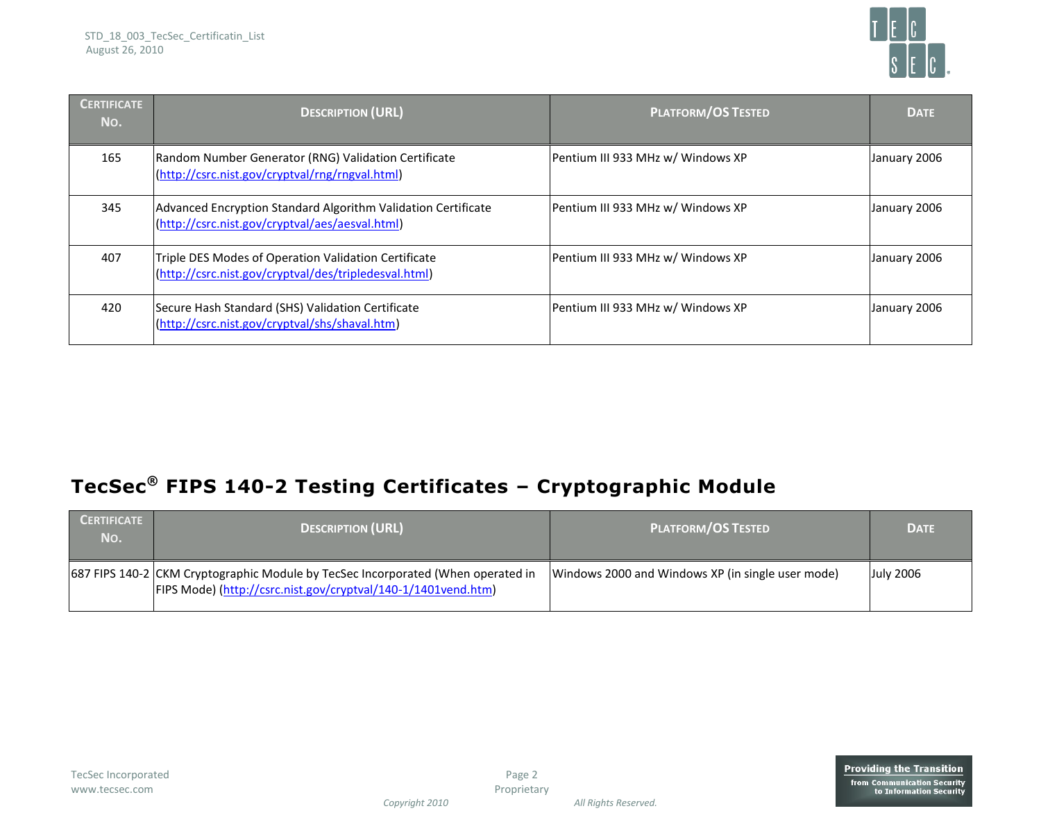

| <b>CERTIFICATE</b><br>No. | <b>DESCRIPTION (URL)</b>                                                                                         | <b>PLATFORM/OS TESTED</b>         | <b>DATE</b>  |
|---------------------------|------------------------------------------------------------------------------------------------------------------|-----------------------------------|--------------|
| 165                       | Random Number Generator (RNG) Validation Certificate<br>(http://csrc.nist.gov/cryptval/rng/rngval.html)          | Pentium III 933 MHz w/ Windows XP | January 2006 |
| 345                       | Advanced Encryption Standard Algorithm Validation Certificate<br>(http://csrc.nist.gov/cryptval/aes/aesval.html) | Pentium III 933 MHz w/ Windows XP | January 2006 |
| 407                       | Triple DES Modes of Operation Validation Certificate<br>(http://csrc.nist.gov/cryptval/des/tripledesval.html)    | Pentium III 933 MHz w/ Windows XP | January 2006 |
| 420                       | Secure Hash Standard (SHS) Validation Certificate<br>(http://csrc.nist.gov/cryptval/shs/shaval.htm)              | Pentium III 933 MHz w/ Windows XP | January 2006 |

## **TecSec® FIPS 140-2 Testing Certificates – Cryptographic Module**

| <b>CERTIFICATE</b><br>No. | <b>DESCRIPTION (URL)</b>                                                                                                                          | <b>PLATFORM/OS TESTED</b>                         | <b>DATE</b>      |
|---------------------------|---------------------------------------------------------------------------------------------------------------------------------------------------|---------------------------------------------------|------------------|
|                           | 687 FIPS 140-2 CKM Cryptographic Module by TecSec Incorporated (When operated in<br>FIPS Mode) (http://csrc.nist.gov/cryptval/140-1/1401vend.htm) | Windows 2000 and Windows XP (in single user mode) | <b>July 2006</b> |